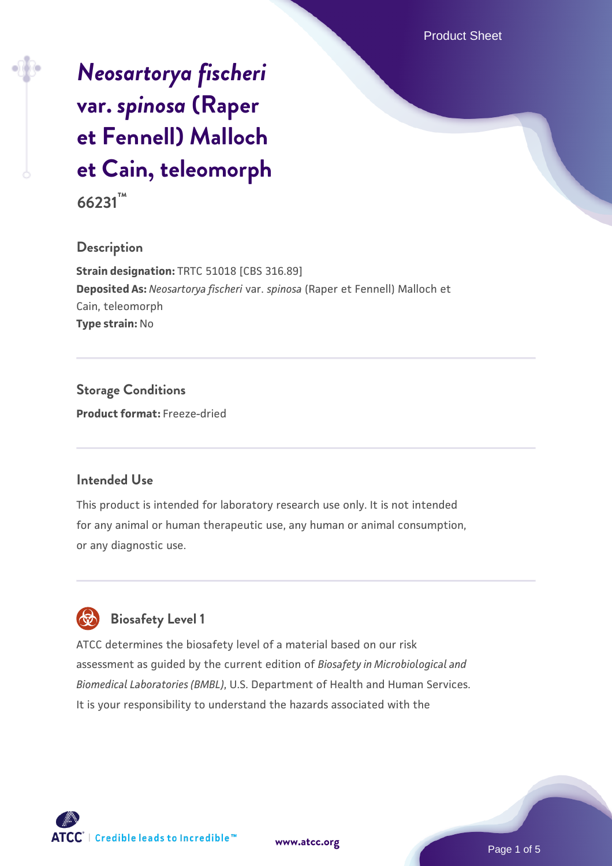# *[Neosartorya fischeri](https://www.atcc.org/products/66231)* **[var.](https://www.atcc.org/products/66231)** *[spinosa](https://www.atcc.org/products/66231)* **[\(Raper](https://www.atcc.org/products/66231) [et Fennell\) Malloch](https://www.atcc.org/products/66231) [et Cain, teleomorph](https://www.atcc.org/products/66231)**

**66231™**

# **Description**

**Strain designation:** TRTC 51018 [CBS 316.89] **Deposited As:** *Neosartorya fischeri* var. *spinosa* (Raper et Fennell) Malloch et Cain, teleomorph **Type strain:** No

**Storage Conditions Product format:** Freeze-dried

# **Intended Use**

This product is intended for laboratory research use only. It is not intended for any animal or human therapeutic use, any human or animal consumption, or any diagnostic use.



# **Biosafety Level 1**

ATCC determines the biosafety level of a material based on our risk assessment as guided by the current edition of *Biosafety in Microbiological and Biomedical Laboratories (BMBL)*, U.S. Department of Health and Human Services. It is your responsibility to understand the hazards associated with the



**[www.atcc.org](http://www.atcc.org)**

Page 1 of 5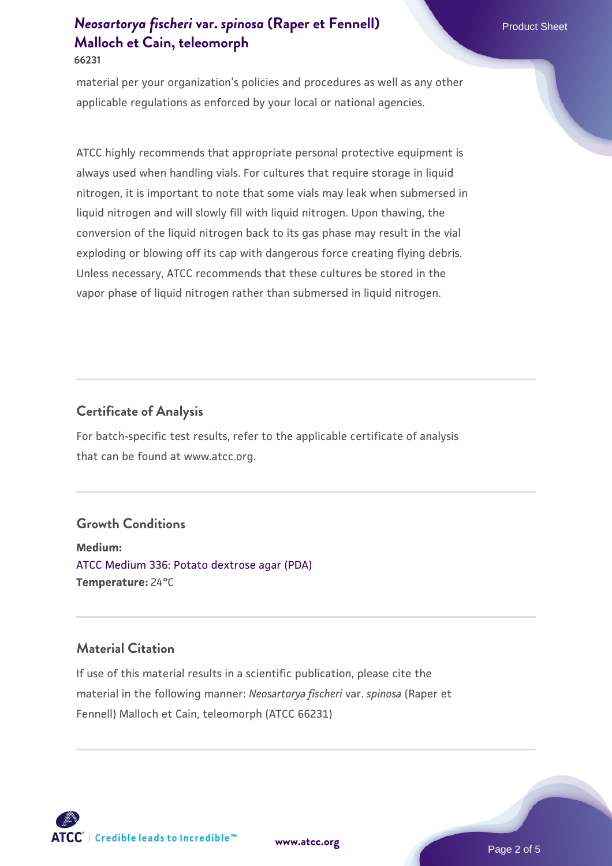# *[Neosartorya fischeri](https://www.atcc.org/products/66231)* **[var.](https://www.atcc.org/products/66231)** *[spinosa](https://www.atcc.org/products/66231)* **[\(Raper et Fennell\)](https://www.atcc.org/products/66231) Product Sheet Product Sheet [Malloch et Cain, teleomorph](https://www.atcc.org/products/66231) 66231**

material per your organization's policies and procedures as well as any other applicable regulations as enforced by your local or national agencies.

ATCC highly recommends that appropriate personal protective equipment is always used when handling vials. For cultures that require storage in liquid nitrogen, it is important to note that some vials may leak when submersed in liquid nitrogen and will slowly fill with liquid nitrogen. Upon thawing, the conversion of the liquid nitrogen back to its gas phase may result in the vial exploding or blowing off its cap with dangerous force creating flying debris. Unless necessary, ATCC recommends that these cultures be stored in the vapor phase of liquid nitrogen rather than submersed in liquid nitrogen.

# **Certificate of Analysis**

For batch-specific test results, refer to the applicable certificate of analysis that can be found at www.atcc.org.

#### **Growth Conditions**

**Medium:**  [ATCC Medium 336: Potato dextrose agar \(PDA\)](https://www.atcc.org/-/media/product-assets/documents/microbial-media-formulations/3/3/6/atcc-medium-336.pdf?rev=d9160ad44d934cd8b65175461abbf3b9) **Temperature:** 24°C

# **Material Citation**

If use of this material results in a scientific publication, please cite the material in the following manner: *Neosartorya fischeri* var. *spinosa* (Raper et Fennell) Malloch et Cain, teleomorph (ATCC 66231)



**[www.atcc.org](http://www.atcc.org)**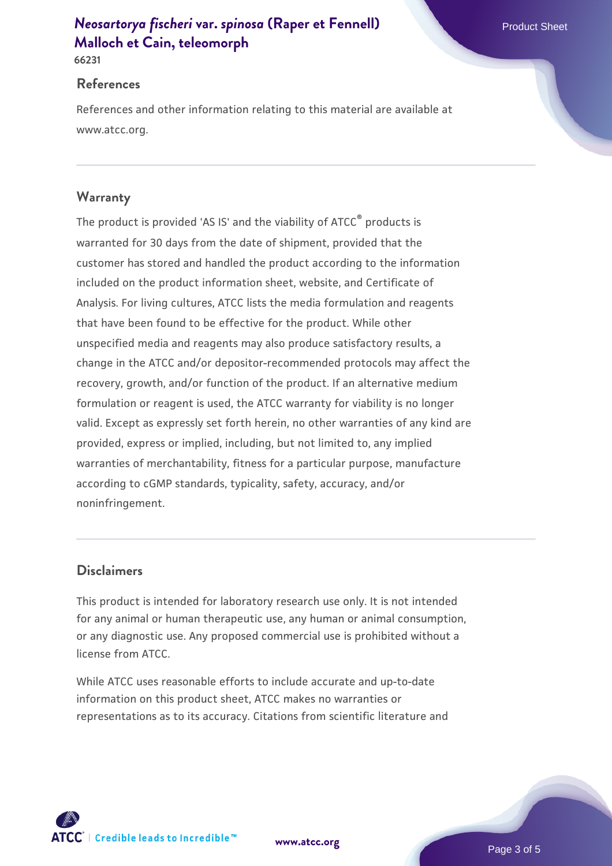# *[Neosartorya fischeri](https://www.atcc.org/products/66231)* **[var.](https://www.atcc.org/products/66231)** *[spinosa](https://www.atcc.org/products/66231)* **[\(Raper et Fennell\)](https://www.atcc.org/products/66231) Product Sheet Product Sheet [Malloch et Cain, teleomorph](https://www.atcc.org/products/66231)**

**66231**

#### **References**

References and other information relating to this material are available at www.atcc.org.

## **Warranty**

The product is provided 'AS IS' and the viability of ATCC® products is warranted for 30 days from the date of shipment, provided that the customer has stored and handled the product according to the information included on the product information sheet, website, and Certificate of Analysis. For living cultures, ATCC lists the media formulation and reagents that have been found to be effective for the product. While other unspecified media and reagents may also produce satisfactory results, a change in the ATCC and/or depositor-recommended protocols may affect the recovery, growth, and/or function of the product. If an alternative medium formulation or reagent is used, the ATCC warranty for viability is no longer valid. Except as expressly set forth herein, no other warranties of any kind are provided, express or implied, including, but not limited to, any implied warranties of merchantability, fitness for a particular purpose, manufacture according to cGMP standards, typicality, safety, accuracy, and/or noninfringement.

## **Disclaimers**

This product is intended for laboratory research use only. It is not intended for any animal or human therapeutic use, any human or animal consumption, or any diagnostic use. Any proposed commercial use is prohibited without a license from ATCC.

While ATCC uses reasonable efforts to include accurate and up-to-date information on this product sheet, ATCC makes no warranties or representations as to its accuracy. Citations from scientific literature and

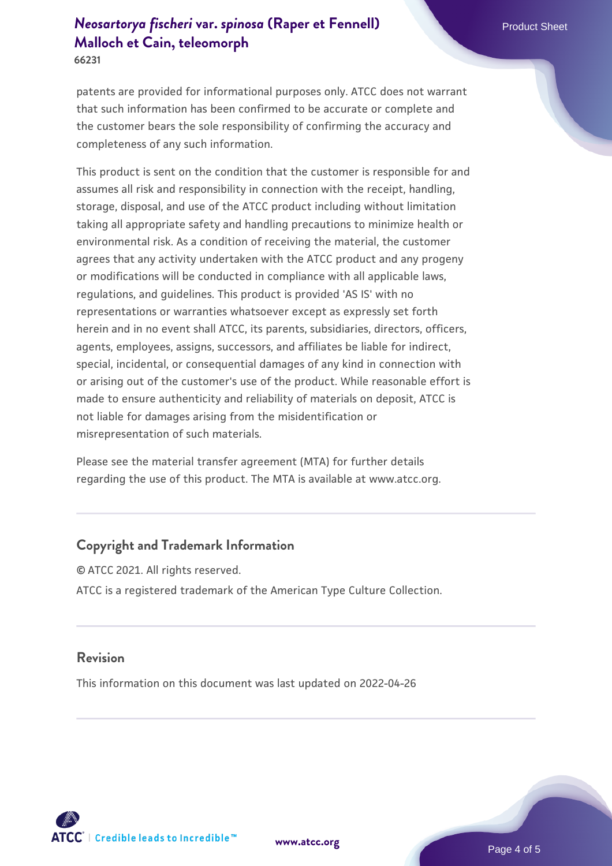# *[Neosartorya fischeri](https://www.atcc.org/products/66231)* **[var.](https://www.atcc.org/products/66231)** *[spinosa](https://www.atcc.org/products/66231)* **[\(Raper et Fennell\)](https://www.atcc.org/products/66231) Product Sheet Product Sheet [Malloch et Cain, teleomorph](https://www.atcc.org/products/66231)**

**66231**

patents are provided for informational purposes only. ATCC does not warrant that such information has been confirmed to be accurate or complete and the customer bears the sole responsibility of confirming the accuracy and completeness of any such information.

This product is sent on the condition that the customer is responsible for and assumes all risk and responsibility in connection with the receipt, handling, storage, disposal, and use of the ATCC product including without limitation taking all appropriate safety and handling precautions to minimize health or environmental risk. As a condition of receiving the material, the customer agrees that any activity undertaken with the ATCC product and any progeny or modifications will be conducted in compliance with all applicable laws, regulations, and guidelines. This product is provided 'AS IS' with no representations or warranties whatsoever except as expressly set forth herein and in no event shall ATCC, its parents, subsidiaries, directors, officers, agents, employees, assigns, successors, and affiliates be liable for indirect, special, incidental, or consequential damages of any kind in connection with or arising out of the customer's use of the product. While reasonable effort is made to ensure authenticity and reliability of materials on deposit, ATCC is not liable for damages arising from the misidentification or misrepresentation of such materials.

Please see the material transfer agreement (MTA) for further details regarding the use of this product. The MTA is available at www.atcc.org.

# **Copyright and Trademark Information**

© ATCC 2021. All rights reserved. ATCC is a registered trademark of the American Type Culture Collection.

#### **Revision**

This information on this document was last updated on 2022-04-26



**[www.atcc.org](http://www.atcc.org)**

Page 4 of 5